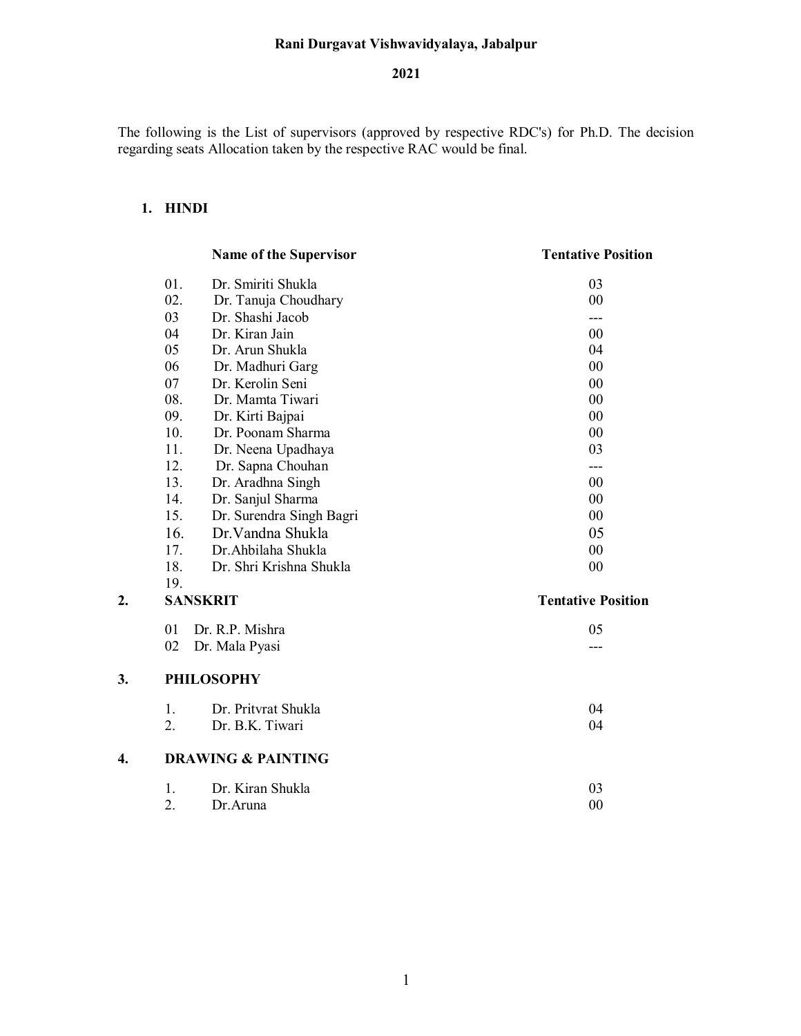## **Rani Durgavat Vishwavidyalaya, Jabalpur**

## **2021**

The following is the List of supervisors (approved by respective RDC's) for Ph.D. The decision regarding seats Allocation taken by the respective RAC would be final.

# **1. HINDI**

**3.** 

|    |     | <b>Name of the Supervisor</b> | <b>Tentative Position</b> |
|----|-----|-------------------------------|---------------------------|
|    | 01. | Dr. Smiriti Shukla            | 03                        |
|    | 02. | Dr. Tanuja Choudhary          | 00                        |
|    | 03  | Dr. Shashi Jacob              | ---                       |
|    | 04  | Dr. Kiran Jain                | 00                        |
|    | 05  | Dr. Arun Shukla               | 04                        |
|    | 06  | Dr. Madhuri Garg              | 00                        |
|    | 07  | Dr. Kerolin Seni              | 00                        |
|    | 08. | Dr. Mamta Tiwari              | 00                        |
|    | 09. | Dr. Kirti Bajpai              | 00                        |
|    | 10. | Dr. Poonam Sharma             | 00                        |
|    | 11. | Dr. Neena Upadhaya            | 03                        |
|    | 12. | Dr. Sapna Chouhan             | ---                       |
|    | 13. | Dr. Aradhna Singh             | 00                        |
|    | 14. | Dr. Sanjul Sharma             | 00                        |
|    | 15. | Dr. Surendra Singh Bagri      | 00                        |
|    | 16. | Dr. Vandna Shukla             | 05                        |
|    | 17. | Dr. Ahbilaha Shukla           | 00                        |
|    | 18. | Dr. Shri Krishna Shukla       | 00                        |
|    | 19. |                               |                           |
| 2. |     | <b>SANSKRIT</b>               | <b>Tentative Position</b> |
|    | 01  | Dr. R.P. Mishra               | 05                        |
|    | 02  | Dr. Mala Pyasi                |                           |
| 3. |     | <b>PHILOSOPHY</b>             |                           |
|    | 1.  | Dr. Pritvrat Shukla           | 04                        |
|    | 2.  | Dr. B.K. Tiwari               | 04                        |
| 4. |     | <b>DRAWING &amp; PAINTING</b> |                           |
|    | 1.  | Dr. Kiran Shukla              | 03                        |

2. Dr.Aruna 00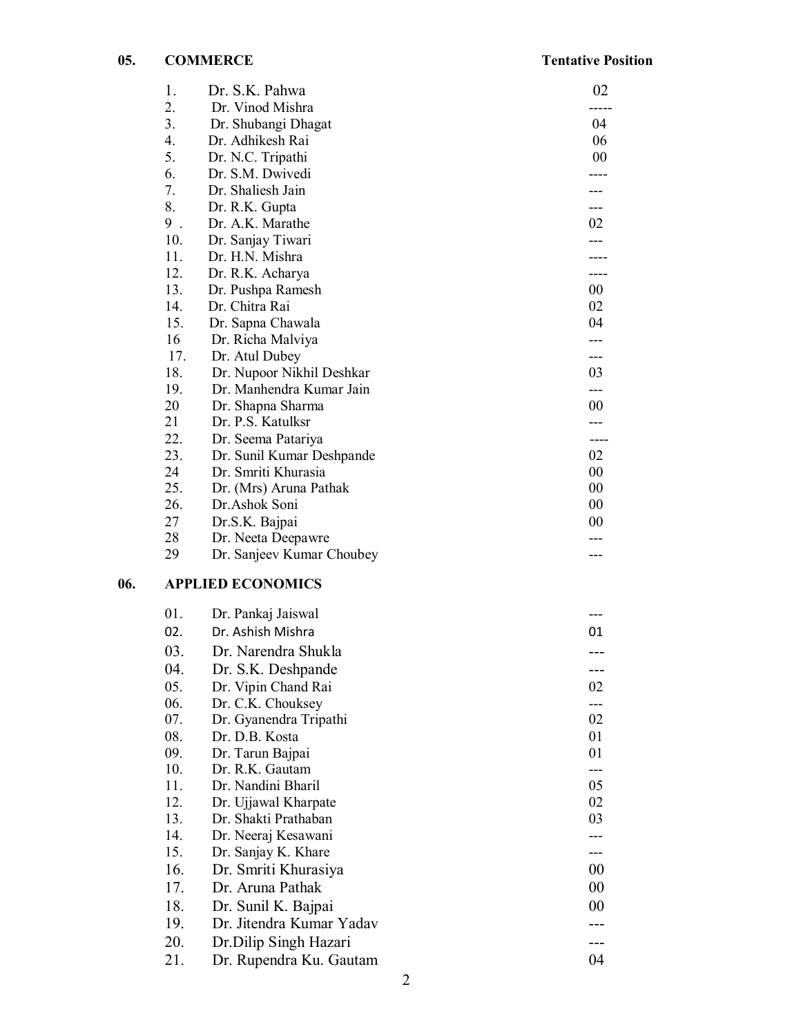|     | 1.       | Dr. S.K. Pahwa                         | 02     |
|-----|----------|----------------------------------------|--------|
|     | 2.       | Dr. Vinod Mishra                       |        |
|     | 3.       | Dr. Shubangi Dhagat                    | 04     |
|     | 4.       | Dr. Adhikesh Rai                       | 06     |
|     | 5.       | Dr. N.C. Tripathi                      | 00     |
|     | 6.       | Dr. S.M. Dwivedi                       |        |
|     | 7.       | Dr. Shaliesh Jain                      |        |
|     | 8.       | Dr. R.K. Gupta                         |        |
|     | $9$ .    | Dr. A.K. Marathe                       | 02     |
|     | 10.      | Dr. Sanjay Tiwari                      |        |
|     | 11.      | Dr. H.N. Mishra                        |        |
|     | 12.      | Dr. R.K. Acharya                       |        |
|     | 13.      | Dr. Pushpa Ramesh                      | $00\,$ |
|     | 14.      | Dr. Chitra Rai                         | 02     |
|     | 15.      | Dr. Sapna Chawala                      | 04     |
|     | 16       | Dr. Richa Malviya                      |        |
|     | 17.      | Dr. Atul Dubey                         |        |
|     | 18.      | Dr. Nupoor Nikhil Deshkar              | 03     |
|     | 19.      | Dr. Manhendra Kumar Jain               |        |
|     | 20<br>21 | Dr. Shapna Sharma<br>Dr. P.S. Katulksr | 00     |
|     | 22.      | Dr. Seema Patariya                     | ----   |
|     | 23.      | Dr. Sunil Kumar Deshpande              | 02     |
|     | 24       | Dr. Smriti Khurasia                    | 00     |
|     | 25.      | Dr. (Mrs) Aruna Pathak                 | $00\,$ |
|     | 26.      | Dr.Ashok Soni                          | 00     |
|     | 27       | Dr.S.K. Bajpai                         | 00     |
|     | 28       | Dr. Neeta Deepawre                     |        |
|     | 29       | Dr. Sanjeev Kumar Choubey              |        |
| 06. |          | <b>APPLIED ECONOMICS</b>               |        |
|     | 01.      | Dr. Pankaj Jaiswal                     |        |
|     | 02.      | Dr. Ashish Mishra                      | 01     |
|     | 03.      | Dr. Narendra Shukla                    |        |
|     | 04.      | Dr. S.K. Deshpande                     |        |
|     | 05.      | Dr. Vipin Chand Rai                    | 02     |
|     | 06.      | Dr. C.K. Chouksey                      |        |
|     | 07.      | Dr. Gyanendra Tripathi                 | 02     |
|     | 08.      | Dr. D.B. Kosta                         | 01     |
|     | 09.      | Dr. Tarun Bajpai                       | 01     |
|     | 10.      | Dr. R.K. Gautam                        |        |
|     | 11.      | Dr. Nandini Bharil                     | 05     |
|     | 12.      | Dr. Ujjawal Kharpate                   | 02     |
|     | 13.      | Dr. Shakti Prathaban                   | 03     |
|     | 14.      | Dr. Neeraj Kesawani                    |        |
|     | 15.      | Dr. Sanjay K. Khare                    |        |
|     | 16.      | Dr. Smriti Khurasiya                   | 00     |
|     | 17.      | Dr. Aruna Pathak                       | 00     |
|     | 18.      | Dr. Sunil K. Bajpai                    | 00     |
|     | 19.      | Dr. Jitendra Kumar Yadav               |        |
|     | 20.      | Dr.Dilip Singh Hazari                  |        |
|     | 21.      | Dr. Rupendra Ku. Gautam                | 04     |
|     |          |                                        |        |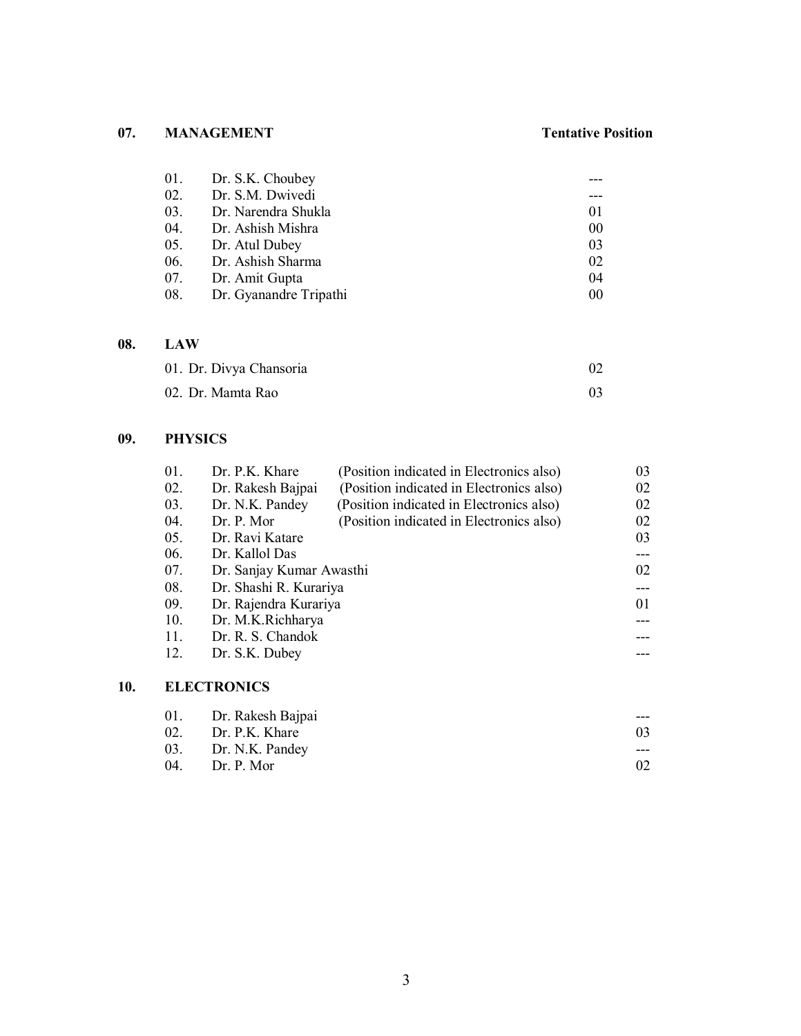# **07. MANAGEMENT Tentative Position**

| 01. Dr. S.K. Choubey       |    |
|----------------------------|----|
| 02. Dr. S.M. Dwivedi       |    |
| 03. Dr. Narendra Shukla    | 01 |
| 04. Dr. Ashish Mishra      | 00 |
| 05. Dr. Atul Dubey         | 03 |
| 06. Dr. Ashish Sharma      | 02 |
| 07. Dr. Amit Gupta         | 04 |
| 08. Dr. Gyanandre Tripathi | 00 |

## **08. LAW**

| 01. Dr. Divya Chansoria |  |
|-------------------------|--|
| 02. Dr. Mamta Rao       |  |

## **09. PHYSICS**

**10.** 

| 01. | Dr. P.K. Khare           | (Position indicated in Electronics also) | 03 |
|-----|--------------------------|------------------------------------------|----|
| 02. | Dr. Rakesh Bajpai        | (Position indicated in Electronics also) | 02 |
| 03. | Dr. N.K. Pandey          | (Position indicated in Electronics also) | 02 |
| 04. | Dr. P. Mor               | (Position indicated in Electronics also) | 02 |
| 05. | Dr. Ravi Katare          |                                          | 03 |
| 06. | Dr. Kallol Das           |                                          |    |
| 07. | Dr. Sanjay Kumar Awasthi |                                          | 02 |
| 08. | Dr. Shashi R. Kurariya   |                                          |    |
| 09. | Dr. Rajendra Kurariya    |                                          | 01 |
| 10. | Dr. M.K.Richharya        |                                          |    |
| 11. | Dr. R. S. Chandok        |                                          |    |
| 12. | Dr. S.K. Dubey           |                                          |    |
|     |                          |                                          |    |
|     | <b>ELECTRONICS</b>       |                                          |    |
|     |                          |                                          |    |

| 01. Dr. Rakesh Bajpai | $---$ |
|-----------------------|-------|
| 02. Dr. P.K. Khare    | 03    |
| 03. Dr. N.K. Pandey   | $---$ |
| 04. Dr. P. Mor        |       |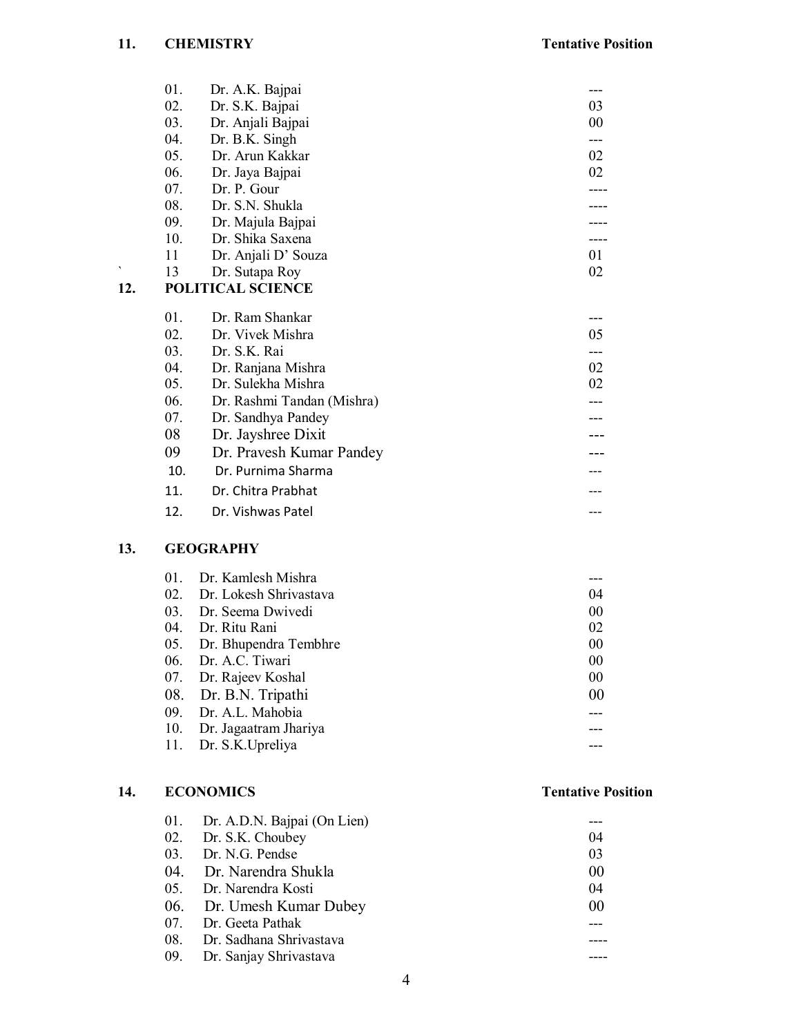|     | 01.    | Dr. A.K. Bajpai            |    |
|-----|--------|----------------------------|----|
|     | 02.    | Dr. S.K. Bajpai            | 03 |
|     | 03.    | Dr. Anjali Bajpai          | 00 |
|     | 04.    | Dr. B.K. Singh             |    |
|     | 05.    | Dr. Arun Kakkar            | 02 |
|     | 06.    | Dr. Jaya Bajpai            | 02 |
|     | 07.    | Dr. P. Gour                |    |
|     | 08.    | Dr. S.N. Shukla            |    |
|     | 09.    | Dr. Majula Bajpai          |    |
|     | 10.    | Dr. Shika Saxena           |    |
|     | 11     | Dr. Anjali D' Souza        | 01 |
| ۰   | 13     | Dr. Sutapa Roy             | 02 |
| 12. |        | <b>POLITICAL SCIENCE</b>   |    |
|     | $01$ . | Dr. Ram Shankar            |    |
|     | 02.    | Dr. Vivek Mishra           | 05 |
|     | 03.    | Dr. S.K. Rai               |    |
|     | 04.    | Dr. Ranjana Mishra         | 02 |
|     | 05.    | Dr. Sulekha Mishra         | 02 |
|     | 06.    | Dr. Rashmi Tandan (Mishra) |    |
|     | 07.    | Dr. Sandhya Pandey         |    |
|     | 08     | Dr. Jayshree Dixit         |    |
|     | 09     | Dr. Pravesh Kumar Pandey   |    |
|     | 10.    | Dr. Purnima Sharma         |    |
|     | 11.    | Dr. Chitra Prabhat         |    |
|     | 12.    | Dr. Vishwas Patel          |    |
|     |        |                            |    |

## **13. GEOGRAPHY**

| $01$ .                           | Dr. Kamlesh Mishra        |    |
|----------------------------------|---------------------------|----|
| $02_{\scriptscriptstyle{\perp}}$ | Dr. Lokesh Shrivastava    | 04 |
| 03.                              | Dr. Seema Dwivedi         | 00 |
| 04.                              | Dr. Ritu Rani             | 02 |
|                                  | 05. Dr. Bhupendra Tembhre | 00 |
|                                  | 06. Dr. A.C. Tiwari       | 00 |
|                                  | 07. Dr. Rajeev Koshal     | 00 |
|                                  | 08. Dr. B.N. Tripathi     | 00 |
|                                  | 09. Dr. A.L. Mahobia      |    |
|                                  | 10. Dr. Jagaatram Jhariya |    |
|                                  | 11. Dr. S.K. Upreliya     |    |

# **14. ECONOMICS Tentative Position**

| 01. Dr. A.D.N. Bajpai (On Lien) |    |
|---------------------------------|----|
| 02. Dr. S.K. Choubey            | 04 |
| 03. Dr. N.G. Pendse             | 03 |
| 04. Dr. Narendra Shukla         | 00 |
| 05. Dr. Narendra Kosti          | 04 |
| 06. Dr. Umesh Kumar Dubey       | 00 |
| 07. Dr. Geeta Pathak            |    |
| 08. Dr. Sadhana Shrivastava     |    |
| 09. Dr. Sanjay Shrivastava      |    |
|                                 |    |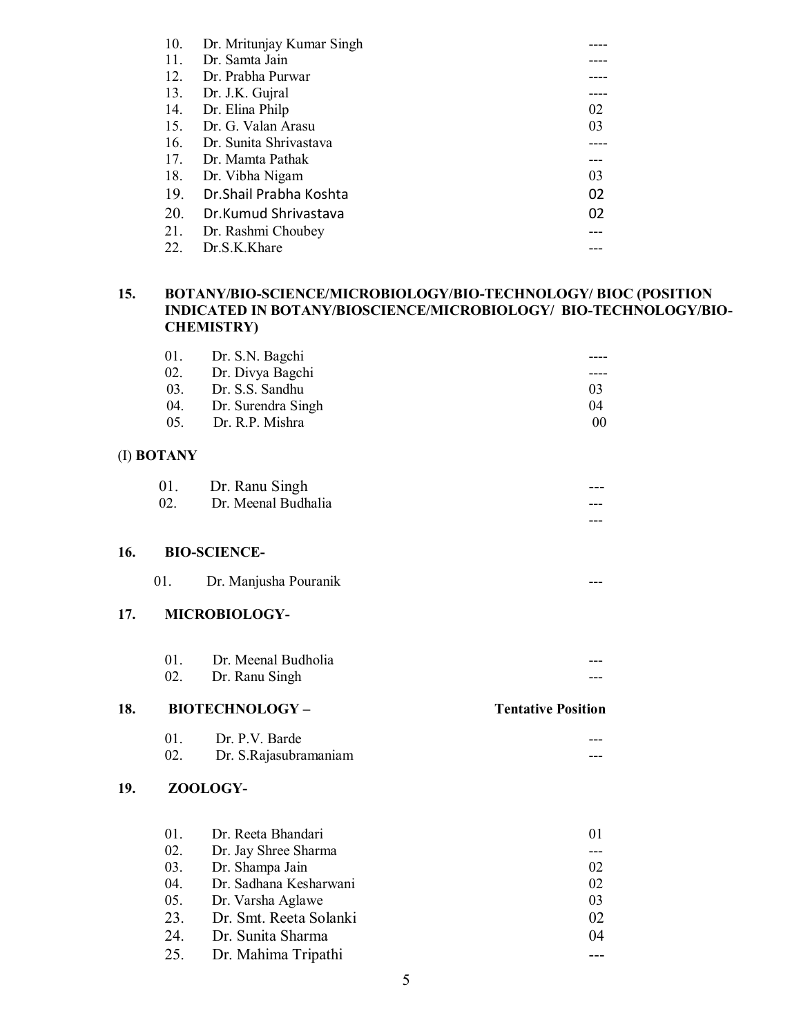| 10. | Dr. Mritunjay Kumar Singh |     |
|-----|---------------------------|-----|
| 11. | Dr. Samta Jain            |     |
| 12. | Dr. Prabha Purwar         |     |
| 13. | Dr. J.K. Gujral           |     |
| 14. | Dr. Elina Philp           | 02  |
| 15. | Dr. G. Valan Arasu        | 03  |
| 16. | Dr. Sunita Shriyastaya    |     |
| 17. | Dr. Mamta Pathak          | --- |
| 18. | Dr. Vibha Nigam           | 03  |
| 19. | Dr. Shail Prabha Koshta   | 02  |
| 20. | Dr.Kumud Shrivastava      | 02  |
| 21. | Dr. Rashmi Choubey        |     |
| 22. | Dr.S.K.Khare              |     |

## **15. BOTANY/BIO-SCIENCE/MICROBIOLOGY/BIO-TECHNOLOGY/ BIOC (POSITION INDICATED IN BOTANY/BIOSCIENCE/MICROBIOLOGY/ BIO-TECHNOLOGY/BIO-CHEMISTRY)**

---

| 01.             | Dr. S.N. Bagchi    |    |
|-----------------|--------------------|----|
| 02.             | Dr. Divya Bagchi   |    |
| 03 <sub>1</sub> | Dr. S.S. Sandhu    | 03 |
| 04.             | Dr. Surendra Singh | 04 |
| 0.5             | Dr. R.P. Mishra    | 00 |

### (I) **BOTANY**

| 01. | Dr. Ranu Singh      | --- |
|-----|---------------------|-----|
| 02  | Dr. Meenal Budhalia | --- |

### **16. BIO-SCIENCE-**

|  | Dr. Manjusha Pouranik |  | --- |
|--|-----------------------|--|-----|
|--|-----------------------|--|-----|

## **17. MICROBIOLOGY-**

| Dr. Meenal Budholia | --- |
|---------------------|-----|
| Dr. Ranu Singh      | --- |

### **18. BIOTECHNOLOGY – Tentative Position**

|     | Dr. P.V. Barde        | --- |
|-----|-----------------------|-----|
| 02. | Dr. S.Rajasubramaniam | --- |

## **19. ZOOLOGY-**

| 01. | Dr. Reeta Bhandari         | 01 |
|-----|----------------------------|----|
|     | 02. Dr. Jay Shree Sharma   |    |
|     | 03. Dr. Shampa Jain        | 02 |
| 04. | Dr. Sadhana Kesharwani     | 02 |
|     | 05. Dr. Varsha Aglawe      | 03 |
|     | 23. Dr. Smt. Reeta Solanki | 02 |
|     | 24. Dr. Sunita Sharma      | 04 |
|     | 25. Dr. Mahima Tripathi    |    |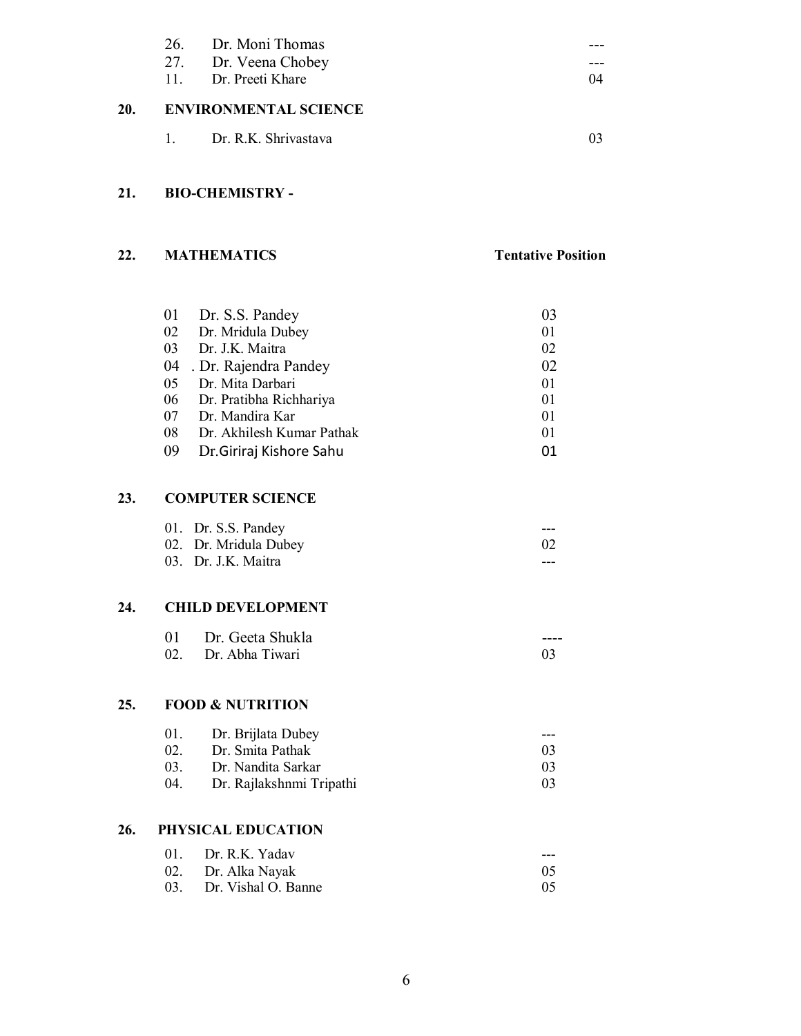|     | 26. Dr. Moni Thomas          |    |
|-----|------------------------------|----|
|     | 27. Dr. Veena Chobey         |    |
|     | 11. Dr. Preeti Khare         | 04 |
| 20. | <b>ENVIRONMENTAL SCIENCE</b> |    |
|     | 1. Dr. R.K. Shrivastava      |    |

## **21. BIO-CHEMISTRY -**

## **22. MATHEMATICS Tentative Position**

| 01 | Dr. S.S. Pandey           | 03 |
|----|---------------------------|----|
| 02 | Dr. Mridula Dubey         | 01 |
| 03 | Dr. J.K. Maitra           | 02 |
| 04 | . Dr. Rajendra Pandey     | 02 |
| 05 | Dr. Mita Darbari          | 01 |
| 06 | Dr. Pratibha Richhariya   | 01 |
| 07 | Dr. Mandira Kar           | 01 |
| 08 | Dr. Akhilesh Kumar Pathak | 01 |
| 09 | Dr.Giriraj Kishore Sahu   | 01 |

# **23. COMPUTER SCIENCE**

| 01. Dr. S.S. Pandey   | $- - -$ |
|-----------------------|---------|
| 02. Dr. Mridula Dubey | 02      |
| 03. Dr. J.K. Maitra   | ---     |

# **24. CHILD DEVELOPMENT**

| 01 | Dr. Geeta Shukla    | ---- |
|----|---------------------|------|
|    | 02. Dr. Abha Tiwari |      |

### **25. FOOD & NUTRITION**

| 01. | Dr. Brijlata Dubey       |                |
|-----|--------------------------|----------------|
| 02. | Dr. Smita Pathak         | 0 <sup>3</sup> |
| 03. | Dr. Nandita Sarkar       | $^{03}$        |
| 04. | Dr. Rajlakshnmi Tripathi | $^{03}$        |

# **26. PHYSICAL EDUCATION**

| 01. Dr. R.K. Yadav      | $---$ |
|-------------------------|-------|
| 02. Dr. Alka Nayak      |       |
| 03. Dr. Vishal O. Banne | -05   |